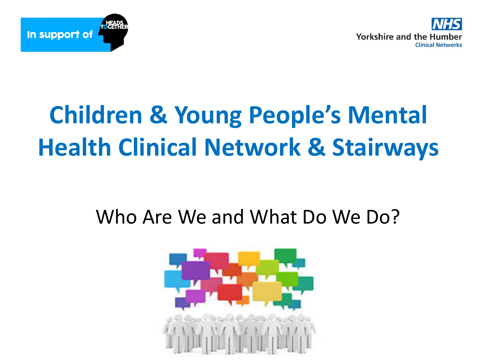



## **Children & Young People's Mental Health Clinical Network & Stairways**

#### Who Are We and What Do We Do?

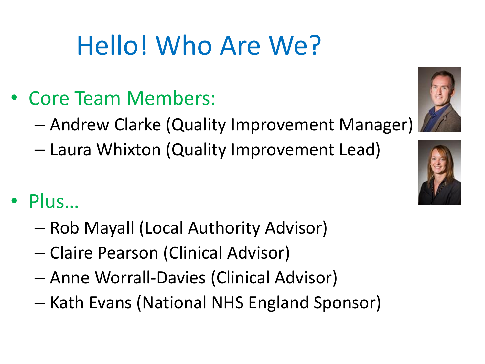# Hello! Who Are We?

- Core Team Members:
	- Andrew Clarke (Quality Improvement Manager)
	- Laura Whixton (Quality Improvement Lead)
- Plus…
	- Rob Mayall (Local Authority Advisor)
	- Claire Pearson (Clinical Advisor)
	- Anne Worrall-Davies (Clinical Advisor)
	- Kath Evans (National NHS England Sponsor)

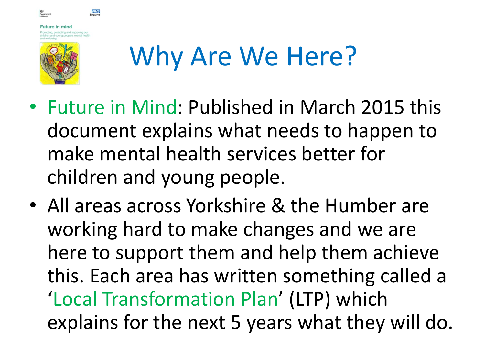

ture in mind

**NHS** 

# Why Are We Here?

- Future in Mind: Published in March 2015 this document explains what needs to happen to make mental health services better for children and young people.
- All areas across Yorkshire & the Humber are working hard to make changes and we are here to support them and help them achieve this. Each area has written something called a 'Local Transformation Plan' (LTP) which explains for the next 5 years what they will do.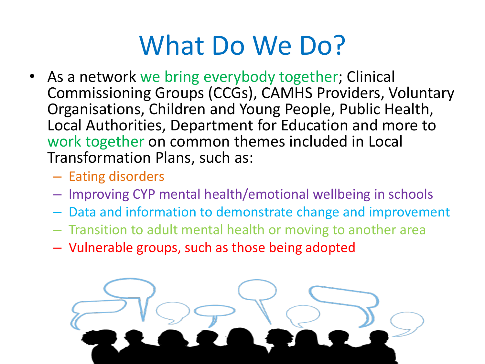## What Do We Do?

- As a network we bring everybody together; Clinical Commissioning Groups (CCGs), CAMHS Providers, Voluntary Organisations, Children and Young People, Public Health, Local Authorities, Department for Education and more to work together on common themes included in Local Transformation Plans, such as:
	- Eating disorders
	- Improving CYP mental health/emotional wellbeing in schools
	- Data and information to demonstrate change and improvement
	- Transition to adult mental health or moving to another area
	- Vulnerable groups, such as those being adopted

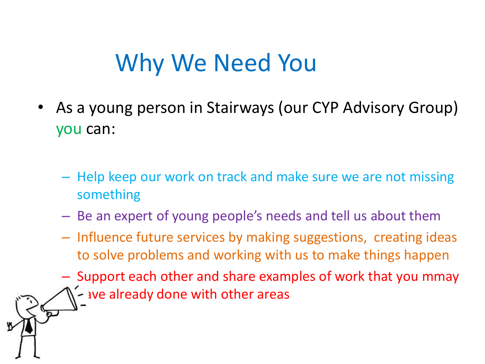### Why We Need You

- As a young person in Stairways (our CYP Advisory Group) you can:
	- Help keep our work on track and make sure we are not missing something
	- Be an expert of young people's needs and tell us about them
	- Influence future services by making suggestions, creating ideas to solve problems and working with us to make things happen
	- Support each other and share examples of work that you mmay  $\sim$  ave already done with other areas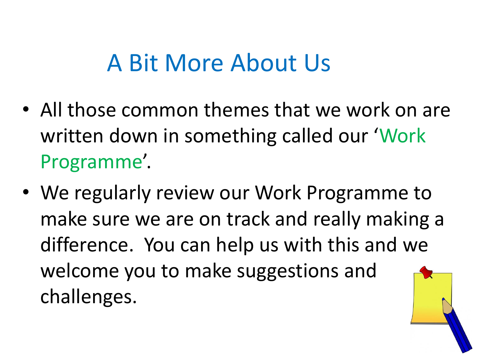#### A Bit More About Us

- All those common themes that we work on are written down in something called our 'Work Programme'.
- We regularly review our Work Programme to make sure we are on track and really making a difference. You can help us with this and we welcome you to make suggestions and challenges.

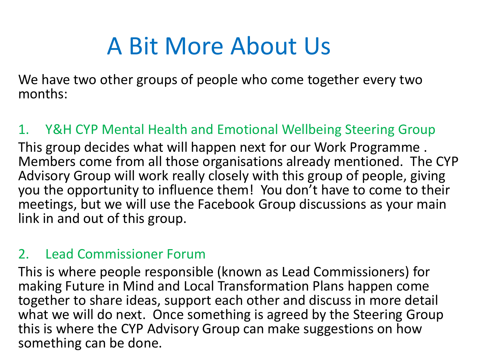## A Bit More About Us

We have two other groups of people who come together every two months:

#### 1. Y&H CYP Mental Health and Emotional Wellbeing Steering Group

This group decides what will happen next for our Work Programme . Members come from all those organisations already mentioned. The CYP Advisory Group will work really closely with this group of people, giving you the opportunity to influence them! You don't have to come to their meetings, but we will use the Facebook Group discussions as your main link in and out of this group.

#### 2. Lead Commissioner Forum

This is where people responsible (known as Lead Commissioners) for making Future in Mind and Local Transformation Plans happen come together to share ideas, support each other and discuss in more detail what we will do next. Once something is agreed by the Steering Group this is where the CYP Advisory Group can make suggestions on how something can be done.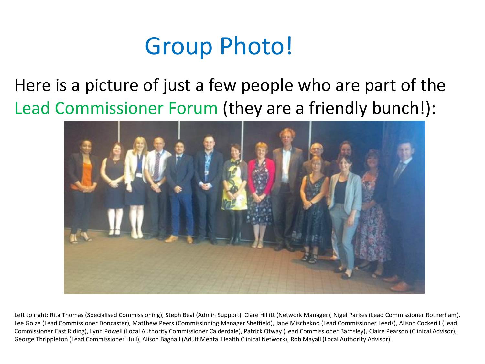### Group Photo!

Here is a picture of just a few people who are part of the Lead Commissioner Forum (they are a friendly bunch!):



Left to right: Rita Thomas (Specialised Commissioning), Steph Beal (Admin Support), Clare Hillitt (Network Manager), Nigel Parkes (Lead Commissioner Rotherham), Lee Golze (Lead Commissioner Doncaster), Matthew Peers (Commissioning Manager Sheffield), Jane Mischekno (Lead Commissioner Leeds), Alison Cockerill (Lead Commissioner East Riding), Lynn Powell (Local Authority Commissioner Calderdale), Patrick Otway (Lead Commissioner Barnsley), Claire Pearson (Clinical Advisor), George Thrippleton (Lead Commissioner Hull), Alison Bagnall (Adult Mental Health Clinical Network), Rob Mayall (Local Authority Advisor).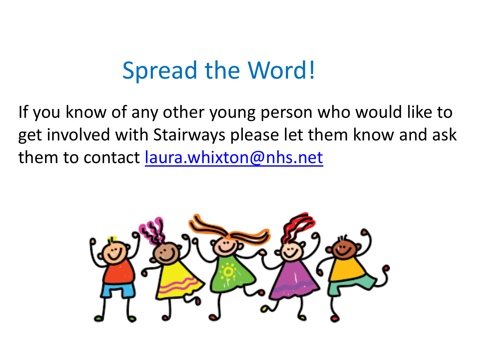#### Spread the Word!

If you know of any other young person who would like to get involved with Stairways please let them know and ask them to contact [laura.whixton@nhs.net](mailto:laura.whixton@nhs.net)